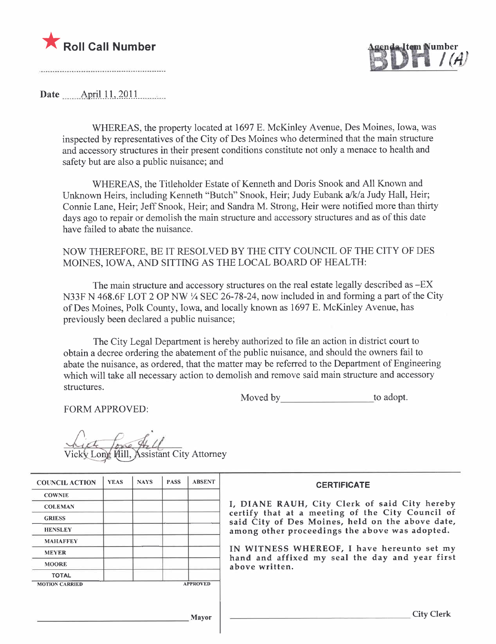



Date \_\_\_\_\_\_ April 11, 2011

WHEREAS, the property located at 1697 E. McKinley Avenue, Des Moines, Iowa, was inspected by representatives of the City of Des Moines who determined that the main structure and accessory structures in their present conditions constitute not only a menace to health and safety but are also a public nuisance; and

WHEREAS, the Titleholder Estate of Kenneth and Doris Snook and All Known and Unknown Heirs, including Kenneth "Butch" Snook, Heir; Judy Eubank a/k/a Judy Hall, Heir; Connie Lane, Heir; Jeff Snook, Heir; and Sandra M. Strong, Heir were notified more than thirty days ago to repair or demolish the main structure and accessory structures and as of this date have failed to abate the nuisance.

# NOW THEREFORE, BE IT RESOLVED BY THE CITY COUNCIL OF THE CITY OF DES MOINES, IOWA, AND SITTING AS THE LOCAL BOARD OF HEALTH:

The main structure and accessory structures on the real estate legally described as -EX N33F N 468.6F LOT 2 OP NW ¼ SEC 26-78-24, now included in and forming a part of the City of Des Moines, Polk County, Iowa, and locally known as 1697 E. McKinley Avenue, has previously been declared a public nuisance;

The City Legal Department is hereby authorized to file an action in district court to obtain a decree ordering the abatement of the public nuisance, and should the owners fail to abate the nuisance, as ordered, that the matter may be referred to the Department of Engineering which will take all necessary action to demolish and remove said main structure and accessory structures.

Moved by to adopt.

FORM APPROVED:

Long Hill, Assistant City Attorney

| <b>COUNCIL ACTION</b> | <b>YEAS</b> | <b>NAYS</b> | <b>PASS</b> | <b>ABSENT</b>   | <b>CERTIFICATE</b>                                                                                   |
|-----------------------|-------------|-------------|-------------|-----------------|------------------------------------------------------------------------------------------------------|
| <b>COWNIE</b>         |             |             |             |                 |                                                                                                      |
| <b>COLEMAN</b>        |             |             |             |                 | I, DIANE RAUH, City Clerk of said City hereby                                                        |
| <b>GRIESS</b>         |             |             |             |                 | certify that at a meeting of the City Council of<br>said City of Des Moines, held on the above date, |
| <b>HENSLEY</b>        |             |             |             |                 | among other proceedings the above was adopted.                                                       |
| <b>MAHAFFEY</b>       |             |             |             |                 |                                                                                                      |
| <b>MEYER</b>          |             |             |             |                 | IN WITNESS WHEREOF, I have hereunto set my                                                           |
| <b>MOORE</b>          |             |             |             |                 | hand and affixed my seal the day and year first<br>above written.                                    |
| <b>TOTAL</b>          |             |             |             |                 |                                                                                                      |
| <b>MOTION CARRIED</b> |             |             |             | <b>APPROVED</b> |                                                                                                      |
|                       |             |             |             | Mayor           | <b>City Clerk</b>                                                                                    |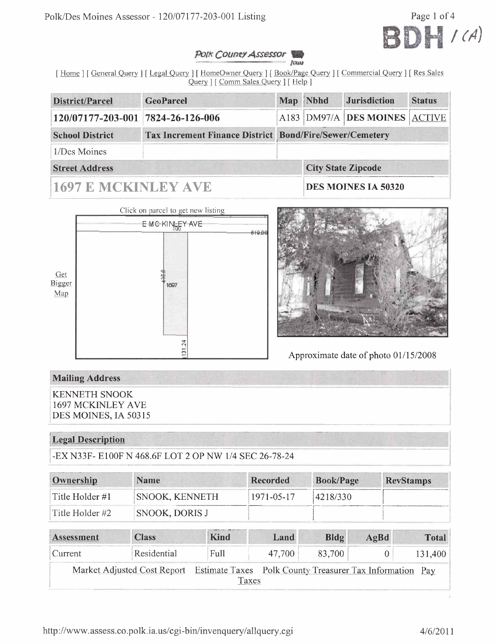

#### POIK County Assessor Jours

[Home ] [General Query ] [Legal Query ] [HomeOwner Query ] [Book/Page Query ] [Commercial Query ] [Res Sales Query ] [ Comm Sales Query ] [ Help ]

| District/Parcel                                                                          | <b>GeoParcel</b> |  | Map Nbhd | <b>Jurisdiction</b>           | <b>Status</b> |  |  |
|------------------------------------------------------------------------------------------|------------------|--|----------|-------------------------------|---------------|--|--|
| 120/07177-203-001 7824-26-126-006                                                        |                  |  |          | A183 DM97/A DES MOINES ACTIVE |               |  |  |
| <b>Tax Increment Finance District Bond/Fire/Sewer/Cemetery</b><br><b>School District</b> |                  |  |          |                               |               |  |  |
| 1/Des Moines                                                                             |                  |  |          |                               |               |  |  |
| <b>Street Address</b>                                                                    |                  |  |          | <b>City State Zipcode</b>     |               |  |  |
| <b>1697 E MCKINLEY AVE</b>                                                               |                  |  |          | <b>DES MOINES IA 50320</b>    |               |  |  |





Approximate date of photo 01/15/2008

# **Mailing Address**

**KENNETH SNOOK** 1697 MCKINLEY AVE DES MOINES, IA 50315

## **Legal Description**

-EX N33F- E100F N 468.6F LOT 2 OP NW 1/4 SEC 26-78-24

| Ownership       | <b>Name</b>           | Recorded   | <b>Book/Page</b> | <b>RevStamps</b> |
|-----------------|-----------------------|------------|------------------|------------------|
| Title Holder #1 | <b>SNOOK, KENNETH</b> | 1971-05-17 | 4218/330         |                  |
| Title Holder #2 | SNOOK, DORIS J        |            |                  |                  |

| Assessment | <b>Class</b>                                                                         | Kind  | Land   | Bldg   | $A\alpha Bd$ | <b>Total</b> |
|------------|--------------------------------------------------------------------------------------|-------|--------|--------|--------------|--------------|
| Current    | Residential                                                                          | Full  | 47.700 | 83.700 |              | 131,400      |
|            | Market Adjusted Cost Report Estimate Taxes Polk County Treasurer Tax Information Pay |       |        |        |              |              |
|            |                                                                                      | Taxes |        |        |              |              |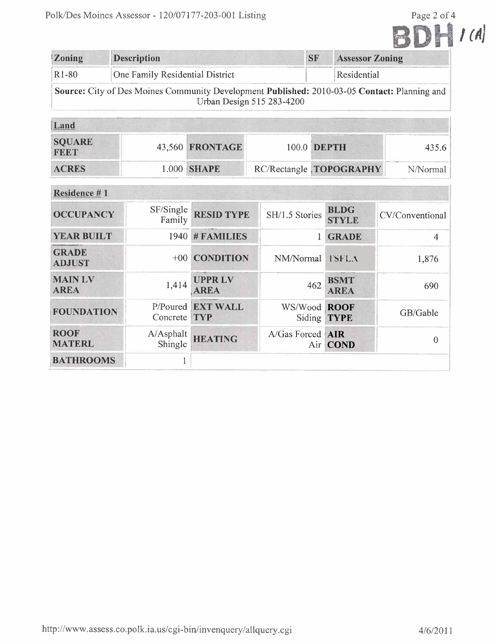|                               | olk/Des Moines Assessor - 120/07177-203-001 Listing                                          |                              |                           |           |                             | Page 2 of 4     |
|-------------------------------|----------------------------------------------------------------------------------------------|------------------------------|---------------------------|-----------|-----------------------------|-----------------|
|                               |                                                                                              |                              |                           |           |                             |                 |
| Zoning                        | <b>Description</b>                                                                           |                              |                           | <b>SF</b> | <b>Assessor Zoning</b>      |                 |
| R1-80                         | One Family Residential District                                                              |                              |                           |           | Residential                 |                 |
|                               | Source: City of Des Moines Community Development Published: 2010-03-05 Contact: Planning and |                              | Urban Design 515 283-4200 |           |                             |                 |
| Land                          |                                                                                              |                              |                           |           |                             |                 |
| <b>SQUARE</b><br><b>FEET</b>  | 43,560                                                                                       | FRONTAGE                     | 100.0 DEPTH               |           |                             | 435.6           |
| <b>ACRES</b>                  | 1.000                                                                                        | <b>SHAPE</b>                 | RC/Rectangle TOPOGRAPHY   |           |                             | N/Normal        |
| Residence #1                  |                                                                                              |                              |                           |           |                             |                 |
| <b>OCCUPANCY</b>              | SF/Single<br>Family                                                                          | <b>RESID TYPE</b>            | SH/1.5 Stories            |           | <b>BLDG</b><br><b>STYLE</b> | CV/Conventional |
| <b>YEAR BUILT</b>             |                                                                                              | 1940 # FAMILIES              |                           | 1         | <b>GRADE</b>                | $\overline{4}$  |
| <b>GRADE</b><br><b>ADJUST</b> | $+00$                                                                                        | <b>CONDITION</b>             | NM/Normal TSFLA           |           |                             | 1,876           |
| <b>MAIN LV</b><br><b>AREA</b> | 1,414                                                                                        | <b>UPPRLV</b><br><b>AREA</b> |                           | 462       | <b>BSMT</b><br><b>AREA</b>  | 690             |
| <b>FOUNDATION</b>             | P/Poured<br>Concrete TYP                                                                     | <b>EXT WALL</b>              | Siding                    |           | WS/Wood ROOF<br><b>TYPE</b> | GB/Gable        |
| <b>ROOF</b><br><b>MATERL</b>  | A/Asphalt<br>Shingle                                                                         | <b>HEATING</b>               | A/Gas Forced <b>AIR</b>   | Air $ $   | <b>COND</b>                 | $\theta$        |
| <b>BATHROOMS</b>              | $\mathbf 1$                                                                                  |                              |                           |           |                             |                 |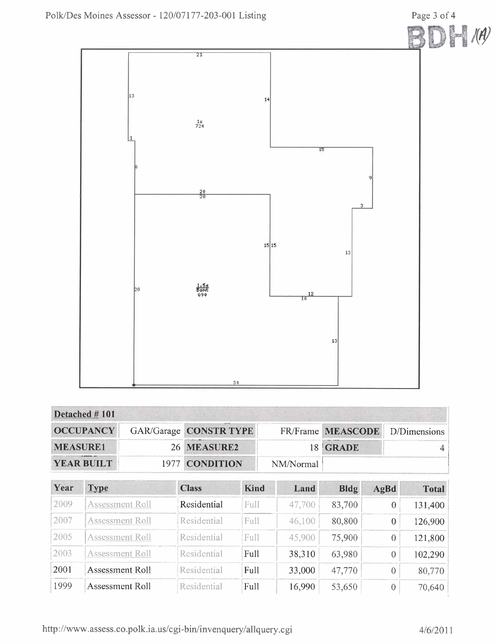

|                                     | Detached #101          |                          |                               |             |        |                                   |      |                  |              |
|-------------------------------------|------------------------|--------------------------|-------------------------------|-------------|--------|-----------------------------------|------|------------------|--------------|
| <b>OCCUPANCY</b><br><b>MEASURE1</b> |                        |                          | <b>GAR/Garage CONSTR TYPE</b> |             |        | FR/Frame MEASCODE<br><b>GRADE</b> |      | D/Dimensions     |              |
|                                     |                        | 26 MEASURE2              |                               |             | 18     |                                   |      |                  |              |
|                                     | <b>YEAR BUILT</b>      | <b>CONDITION</b><br>1977 |                               | NM/Normal   |        |                                   |      |                  |              |
| Year                                | <b>Type</b>            |                          | <b>Class</b>                  | <b>Kind</b> | Land   | Bldg                              | AgBd |                  | <b>Total</b> |
| 2009                                | <b>Assessment Roll</b> |                          | Residential                   | Full        | 47,700 | 83,700                            |      | 0                | 131,400      |
| 2007                                | <b>Assessment Roll</b> |                          | Residential                   | Full        | 46,100 | 80,800                            |      | $\boldsymbol{0}$ | 126,900      |
| 2005                                | <b>Assessment Roll</b> |                          | Residential                   | Full        | 45,900 | 75,900                            |      | $\overline{0}$   | 121,800      |
| 2003                                | <b>Assessment Roll</b> |                          | Residential                   | Full        | 38,310 | 63,980                            |      | 0                | 102,290      |

Full

Full

http://www.assess.co.polk.ia.us/cgi-bin/invenquery/allquery.cgi

Residential

Residential

2001

1999

Assessment Roll

Assessment Roll

80,770

70,640

 $\frac{1}{47,770}$ 

53,650

 $\overline{0}$ 

 $\sqrt{0}$ 

33,000

16,990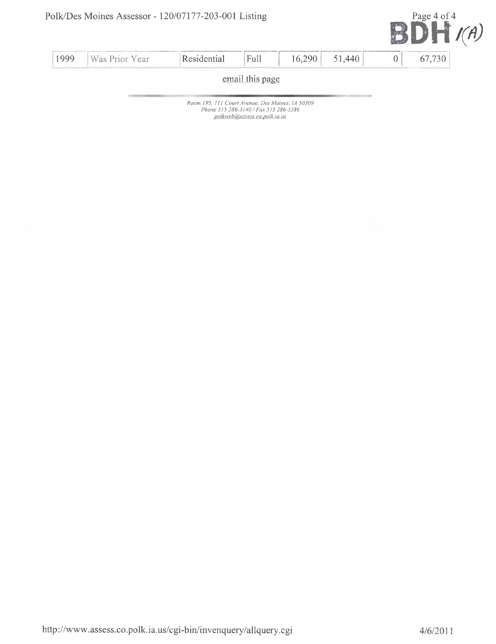

| 1999            | Was Prior Year | Residential | Full | 16,290 | 51.440 |  | 730 |  |
|-----------------|----------------|-------------|------|--------|--------|--|-----|--|
| email this page |                |             |      |        |        |  |     |  |
|                 |                |             |      |        |        |  |     |  |

Room 195, III Court Avenue, Des Moines, IA 50309 Phone 515 286-3140/ Fax 515 286-3386 polkweb@assess.co.polk.ia.us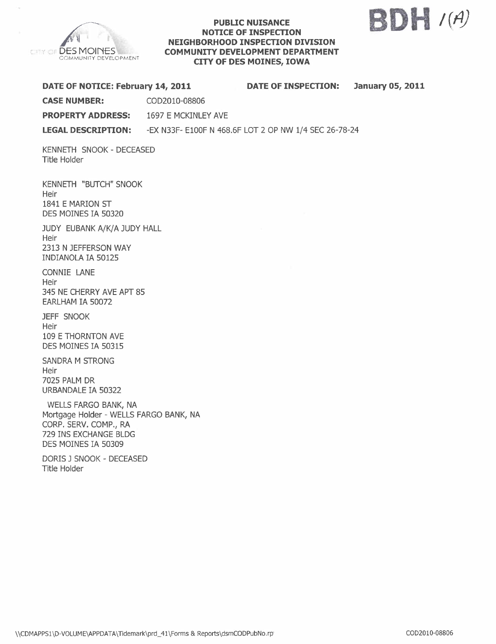

#### PUBLIC NUISANCE NOTICE OF INSPECTION NEIGHBORHOOD INSPECTION DIVISION COMMUNITY DEVELOPMENT DEPARTMENT CITY OF DES MOINES, IOWA



| DATE OF NOTICE: February 14, 2011                                        |                                                       | <b>DATE OF INSPECTION:</b> | <b>January 05, 2011</b> |
|--------------------------------------------------------------------------|-------------------------------------------------------|----------------------------|-------------------------|
| <b>CASE NUMBER:</b>                                                      | COD2010-08806                                         |                            |                         |
| <b>PROPERTY ADDRESS:</b> 1697 E MCKINLEY AVE                             |                                                       |                            |                         |
| <b>LEGAL DESCRIPTION:</b>                                                | -EX N33F- E100F N 468.6F LOT 2 OP NW 1/4 SEC 26-78-24 |                            |                         |
| KENNETH SNOOK - DECEASED<br>Title Holder                                 |                                                       |                            |                         |
| KENNETH "BUTCH" SNOOK<br>Heir<br>1841 E MARION ST<br>DES MOINES IA 50320 |                                                       |                            |                         |

JUDY EUBANK A/K/A JUDY HALL **Heir** 2313 N JEFFERSON WAY INDIANQLA IA 50125

CONNIE LANE Heir 345 NE CHERRY AVE APT 85 EARLHAM IA 50072

JEFF SNOOK Heir 109 E THORNTON AVE DES MOINES IA 50315

SANDRA M STRONG Heir 7025 PALM DR URBANDALE IA 50322

WELLS FARGO BANK, NA Mortgage Holder - WELLS FARGO BANK, NA CORP. SERV. COMP., RA 729 INS EXCHANGE BLDG DES MOINES IA 50309

DORIS J SNOOK - DECEASED Title Holder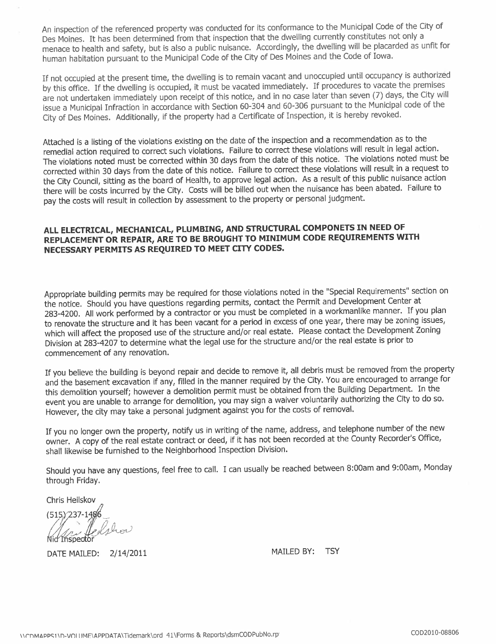An inspection of the referenced property was conducted for its conformance to the Municipal Code of the City of Des Moines. It has been determined from that inspection that the dwelling currently constitutes not only a menace to health and safety, but is also a public nuisance. Accordingly, the dwelling will be placarded as unfit for human habitation pursuant to the Municipal Code of the City of Des Moines and the Code of Iowa.

If not occupied at the present time, the dwelling is to remain vacant and unoccupied until occupancy is authorized by this office. If the dwelling is occupied, it must be vacated immediately. If procedures to vacate the premises are not undertaken immediately upon receipt of this notice, and in no case later than seven (7) days, the City will issue a Municipal Infraction in accordance with Section 60-304 and 60-306 pursuant to the Municipal code of the City of Des Moines. Additionally, if the property had a Certificate of Inspection, it is hereby revoked.

Attached is a listing of the violations existing on the date of the inspection and a recommendation as to the remedial action required to correct such violations. Failure to correct these violations will result in legal action. The violations noted must be corrected within 30 days from the date of this notice. The violations noted must be corrected within 30 days from the date of this notice. Failure to correct these violations will result in a request to the City Council, sitting as the board of Health, to approve legal action. As a result of this public nuisance action there will be costs incurred by the City. Costs will be billed out when the nuisance has been abated. Failure to pay the costs will result in collection by assessment to the property or personal judgment.

## ALL ELECTRICAL, MECHANICAL, PLUMBING, AND STRUCTURAL COMPONETS IN NEED OF REPLACEMENT OR REPAIR, ARE TO BE BROUGHT TO MINIMUM CODE REQUIREMENTS WITH NECESSARY PERMITS AS REQUIRED TO MEET CITY CODES.

Appropriate building permits may be required for those violations noted in the "Special Requirements" section on the notice. Should you have questions regarding permits, contact the Permit and Development Center at 283-4200. All work performed by a contractor or you must be completed in a workmanlike manner. If you plan to renovate the structure and it has been vacant for a period in excess of one year, there may be zoning issues, which will affect the proposed use of the structure and/or real estate. Please contact the Development Zoning Division at 283-4207 to determine what the legal use for the structure and/or the real estate is prior to commencement of any renovation.

If you believe the building is beyond repair and decide to remove it, all debris must be removed from the property and the basement excavation if any, filled in the manner required by the City. You are encouraged to arrange for this demolition yourself; however a demolition permit must be obtained from the Building Department. In the event you are unable to arrange for demolition, you may sign a waiver voluntarily authorizing the City to do so. However, the city may take a personal judgment against you for the costs of removaL.

If you no longer own the property, notify us in writing of the name, address, and telephone number of the new owner. A copy of the real estate contract or deed, if it has not been recorded at the County Recorder's Office, shall likewise be furnished to the Neighborhood Inspection Division.

Should you have any questions, feel free to calL. I can usually be reached between 8:00am and 9:00am, Monday through Friday.

Chris Heilskov

(515) 237-1486<br>Nid Inspector

DATE MAILED: 2/14/2011 MAILED BY: TSY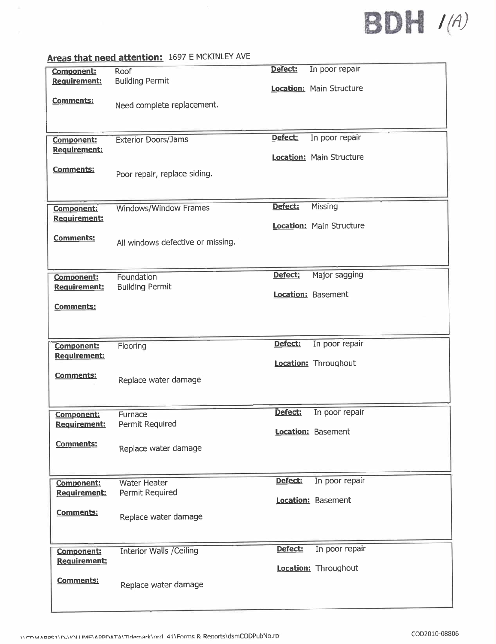# **BDH** (A)

# Areas that need attention: 1697 E MCKINLEY AVE

|                                   | <b>Algeb that liced attentions</b>   |                           |
|-----------------------------------|--------------------------------------|---------------------------|
| <b>Component:</b><br>Requirement: | Roof<br><b>Building Permit</b>       | In poor repair<br>Defect: |
|                                   |                                      | Location: Main Structure  |
| <b>Comments:</b>                  | Need complete replacement.           |                           |
|                                   |                                      |                           |
| Component:                        | <b>Exterior Doors/Jams</b>           | In poor repair<br>Defect: |
| Requirement:                      |                                      | Location: Main Structure  |
| Comments:                         | Poor repair, replace siding.         |                           |
|                                   |                                      |                           |
| <b>Component:</b>                 | Windows/Window Frames                | Missing<br>Defect:        |
| <b>Requirement:</b>               |                                      | Location: Main Structure  |
| <b>Comments:</b>                  | All windows defective or missing.    |                           |
|                                   |                                      |                           |
| <b>Component:</b><br>Requirement: | Foundation<br><b>Building Permit</b> | Defect:<br>Major sagging  |
|                                   |                                      | <b>Location: Basement</b> |
| Comments:                         |                                      |                           |
|                                   |                                      |                           |
| <b>Component:</b><br>Requirement: | Flooring                             | Defect:<br>In poor repair |
|                                   |                                      | Location: Throughout      |
| <b>Comments:</b>                  | Replace water damage                 |                           |
|                                   |                                      |                           |
| Component:<br>Requirement:        | Furnace<br>Permit Required           | Defect:<br>In poor repair |
|                                   |                                      | Location: Basement        |
| Comments:                         | Replace water damage                 |                           |
|                                   |                                      |                           |
|                                   |                                      |                           |
| <b>Component:</b>                 | <b>Water Heater</b>                  | Defect:<br>In poor repair |
| <b>Requirement:</b>               | Permit Required                      | Location: Basement        |
| <b>Comments:</b>                  | Replace water damage                 |                           |
|                                   |                                      |                           |
| <b>Component:</b><br>Requirement: | <b>Interior Walls / Ceiling</b>      | Defect:<br>In poor repair |
|                                   |                                      | Location: Throughout      |
| <b>Comments:</b>                  | Replace water damage                 |                           |